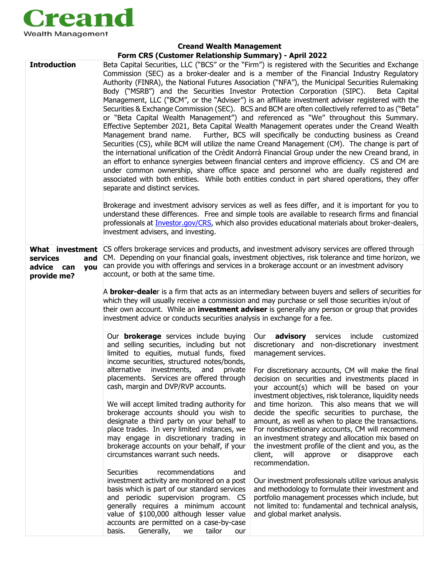

## **Creand Wealth Management Form CRS (Customer Relationship Summary) - April 2022**

| <b>Introduction</b>                                                    | Beta Capital Securities, LLC ("BCS" or the "Firm") is registered with the Securities and Exchange<br>Commission (SEC) as a broker-dealer and is a member of the Financial Industry Regulatory<br>Authority (FINRA), the National Futures Association ("NFA"), the Municipal Securities Rulemaking<br>Body ("MSRB") and the Securities Investor Protection Corporation (SIPC).<br>Beta Capital<br>Management, LLC ("BCM", or the "Adviser") is an affiliate investment adviser registered with the<br>Securities & Exchange Commission (SEC). BCS and BCM are often collectively referred to as ("Beta"<br>or "Beta Capital Wealth Management") and referenced as "We" throughout this Summary.<br>Effective September 2021, Beta Capital Wealth Management operates under the Creand Wealth<br>Further, BCS will specifically be conducting business as Creand<br>Management brand name.<br>Securities (CS), while BCM will utilize the name Creand Management (CM). The change is part of<br>the international unification of the Crèdit Andorrà Financial Group under the new Creand brand, in<br>an effort to enhance synergies between financial centers and improve efficiency. CS and CM are<br>under common ownership, share office space and personnel who are dually registered and<br>associated with both entities. While both entities conduct in part shared operations, they offer<br>separate and distinct services.<br>Brokerage and investment advisory services as well as fees differ, and it is important for you to<br>understand these differences. Free and simple tools are available to research firms and financial<br>professionals at <i>Investor.gov/CRS</i> , which also provides educational materials about broker-dealers,<br>investment advisers, and investing. |                                                                                                                                                                                                                                                                                                                                                                                                                                                                                                                                                                                                                                                                                                                                                                                                                                                                                                                                                                                                                             |  |
|------------------------------------------------------------------------|----------------------------------------------------------------------------------------------------------------------------------------------------------------------------------------------------------------------------------------------------------------------------------------------------------------------------------------------------------------------------------------------------------------------------------------------------------------------------------------------------------------------------------------------------------------------------------------------------------------------------------------------------------------------------------------------------------------------------------------------------------------------------------------------------------------------------------------------------------------------------------------------------------------------------------------------------------------------------------------------------------------------------------------------------------------------------------------------------------------------------------------------------------------------------------------------------------------------------------------------------------------------------------------------------------------------------------------------------------------------------------------------------------------------------------------------------------------------------------------------------------------------------------------------------------------------------------------------------------------------------------------------------------------------------------------------------------------------------------------------------------------------------------------------------|-----------------------------------------------------------------------------------------------------------------------------------------------------------------------------------------------------------------------------------------------------------------------------------------------------------------------------------------------------------------------------------------------------------------------------------------------------------------------------------------------------------------------------------------------------------------------------------------------------------------------------------------------------------------------------------------------------------------------------------------------------------------------------------------------------------------------------------------------------------------------------------------------------------------------------------------------------------------------------------------------------------------------------|--|
| What investment<br>services<br>and<br>advice can<br>you<br>provide me? | CS offers brokerage services and products, and investment advisory services are offered through<br>CM. Depending on your financial goals, investment objectives, risk tolerance and time horizon, we<br>can provide you with offerings and services in a brokerage account or an investment advisory<br>account, or both at the same time.<br>A <b>broker-deale</b> r is a firm that acts as an intermediary between buyers and sellers of securities for<br>which they will usually receive a commission and may purchase or sell those securities in/out of<br>their own account. While an <b>investment adviser</b> is generally any person or group that provides<br>investment advice or conducts securities analysis in exchange for a fee.                                                                                                                                                                                                                                                                                                                                                                                                                                                                                                                                                                                                                                                                                                                                                                                                                                                                                                                                                                                                                                                  |                                                                                                                                                                                                                                                                                                                                                                                                                                                                                                                                                                                                                                                                                                                                                                                                                                                                                                                                                                                                                             |  |
|                                                                        | Our <b>brokerage</b> services include buying<br>and selling securities, including but not<br>limited to equities, mutual funds, fixed<br>income securities, structured notes/bonds,<br>alternative<br>investments,<br>and<br>private<br>placements. Services are offered through<br>cash, margin and DVP/RVP accounts.<br>We will accept limited trading authority for<br>brokerage accounts should you wish to<br>designate a third party on your behalf to<br>place trades. In very limited instances, we<br>may engage in discretionary trading in<br>brokerage accounts on your behalf, if your<br>circumstances warrant such needs.<br><b>Securities</b><br>recommendations<br>and<br>investment activity are monitored on a post<br>basis which is part of our standard services<br>and periodic supervision program. CS<br>generally requires a minimum account<br>value of \$100,000 although lesser value<br>accounts are permitted on a case-by-case<br>Generally, we<br>tailor<br>basis.<br>our                                                                                                                                                                                                                                                                                                                                                                                                                                                                                                                                                                                                                                                                                                                                                                                         | <b>advisory</b> services<br>include<br>customized<br>Our<br>discretionary and non-discretionary<br>investment<br>management services.<br>For discretionary accounts, CM will make the final<br>decision on securities and investments placed in<br>your account(s) which will be based on your<br>investment objectives, risk tolerance, liquidity needs<br>and time horizon. This also means that we will<br>decide the specific securities to purchase, the<br>amount, as well as when to place the transactions.<br>For nondiscretionary accounts, CM will recommend<br>an investment strategy and allocation mix based on<br>the investment profile of the client and you, as the<br>client,<br>will<br>approve<br>or<br>disapprove<br>each<br>recommendation.<br>Our investment professionals utilize various analysis<br>and methodology to formulate their investment and<br>portfolio management processes which include, but<br>not limited to: fundamental and technical analysis,<br>and global market analysis. |  |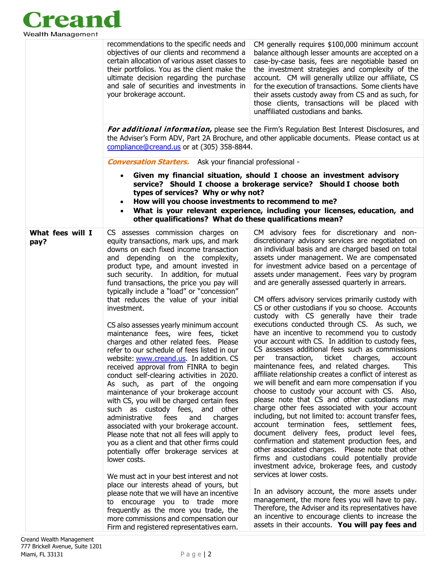

|                          | recommendations to the specific needs and<br>objectives of our clients and recommend a<br>certain allocation of various asset classes to<br>their portfolios. You as the client make the<br>ultimate decision regarding the purchase<br>and sale of securities and investments in<br>your brokerage account.                                                                                                                                                                                                                                                                                                                                                                                                                                                                                                                                                                                                                                                                                                                                                                                                                                                                                                                                                                                                                                                                                                                   | CM generally requires \$100,000 minimum account<br>balance although lesser amounts are accepted on a<br>case-by-case basis, fees are negotiable based on<br>the investment strategies and complexity of the<br>account. CM will generally utilize our affiliate, CS<br>for the execution of transactions. Some clients have<br>their assets custody away from CS and as such, for<br>those clients, transactions will be placed with<br>unaffiliated custodians and banks.                                                                                                                                                                                                                                                                                                                                                                                                                                                                                                                                                                                                                                                                                                                                                                                                                                                                                                                                                                                                                                                                                                                                                                                                                                                                                                       |  |  |
|--------------------------|--------------------------------------------------------------------------------------------------------------------------------------------------------------------------------------------------------------------------------------------------------------------------------------------------------------------------------------------------------------------------------------------------------------------------------------------------------------------------------------------------------------------------------------------------------------------------------------------------------------------------------------------------------------------------------------------------------------------------------------------------------------------------------------------------------------------------------------------------------------------------------------------------------------------------------------------------------------------------------------------------------------------------------------------------------------------------------------------------------------------------------------------------------------------------------------------------------------------------------------------------------------------------------------------------------------------------------------------------------------------------------------------------------------------------------|----------------------------------------------------------------------------------------------------------------------------------------------------------------------------------------------------------------------------------------------------------------------------------------------------------------------------------------------------------------------------------------------------------------------------------------------------------------------------------------------------------------------------------------------------------------------------------------------------------------------------------------------------------------------------------------------------------------------------------------------------------------------------------------------------------------------------------------------------------------------------------------------------------------------------------------------------------------------------------------------------------------------------------------------------------------------------------------------------------------------------------------------------------------------------------------------------------------------------------------------------------------------------------------------------------------------------------------------------------------------------------------------------------------------------------------------------------------------------------------------------------------------------------------------------------------------------------------------------------------------------------------------------------------------------------------------------------------------------------------------------------------------------------|--|--|
|                          | For additional information, please see the Firm's Regulation Best Interest Disclosures, and<br>the Adviser's Form ADV, Part 2A Brochure, and other applicable documents. Please contact us at<br>compliance@creand.us or at (305) 358-8844.                                                                                                                                                                                                                                                                                                                                                                                                                                                                                                                                                                                                                                                                                                                                                                                                                                                                                                                                                                                                                                                                                                                                                                                    |                                                                                                                                                                                                                                                                                                                                                                                                                                                                                                                                                                                                                                                                                                                                                                                                                                                                                                                                                                                                                                                                                                                                                                                                                                                                                                                                                                                                                                                                                                                                                                                                                                                                                                                                                                                  |  |  |
|                          | <b>Conversation Starters.</b> Ask your financial professional -                                                                                                                                                                                                                                                                                                                                                                                                                                                                                                                                                                                                                                                                                                                                                                                                                                                                                                                                                                                                                                                                                                                                                                                                                                                                                                                                                                |                                                                                                                                                                                                                                                                                                                                                                                                                                                                                                                                                                                                                                                                                                                                                                                                                                                                                                                                                                                                                                                                                                                                                                                                                                                                                                                                                                                                                                                                                                                                                                                                                                                                                                                                                                                  |  |  |
|                          | Given my financial situation, should I choose an investment advisory<br>service? Should I choose a brokerage service? Should I choose both<br>types of services? Why or why not?<br>How will you choose investments to recommend to me?<br>What is your relevant experience, including your licenses, education, and<br>other qualifications? What do these qualifications mean?                                                                                                                                                                                                                                                                                                                                                                                                                                                                                                                                                                                                                                                                                                                                                                                                                                                                                                                                                                                                                                               |                                                                                                                                                                                                                                                                                                                                                                                                                                                                                                                                                                                                                                                                                                                                                                                                                                                                                                                                                                                                                                                                                                                                                                                                                                                                                                                                                                                                                                                                                                                                                                                                                                                                                                                                                                                  |  |  |
| What fees will I<br>pay? | CS assesses commission charges on<br>equity transactions, mark ups, and mark<br>downs on each fixed income transaction<br>and depending on the complexity,<br>product type, and amount invested in<br>such security. In addition, for mutual<br>fund transactions, the price you pay will<br>typically include a "load" or "concession"<br>that reduces the value of your initial<br>investment.<br>CS also assesses yearly minimum account<br>maintenance fees, wire fees, ticket<br>charges and other related fees. Please<br>refer to our schedule of fees listed in our<br>website: www.creand.us. In addition. CS<br>received approval from FINRA to begin<br>conduct self-clearing activities in 2020.<br>As such, as part of the ongoing<br>maintenance of your brokerage account<br>with CS, you will be charged certain fees<br>such as custody fees, and other<br>administrative<br>and<br>charges<br>fees<br>associated with your brokerage account.<br>Please note that not all fees will apply to<br>you as a client and that other firms could<br>potentially offer brokerage services at<br>lower costs.<br>We must act in your best interest and not<br>place our interests ahead of yours, but<br>please note that we will have an incentive<br>to encourage you to trade more<br>frequently as the more you trade, the<br>more commissions and compensation our<br>Firm and registered representatives earn. | CM advisory fees for discretionary and non-<br>discretionary advisory services are negotiated on<br>an individual basis and are charged based on total<br>assets under management. We are compensated<br>for investment advice based on a percentage of<br>assets under management. Fees vary by program<br>and are generally assessed quarterly in arrears.<br>CM offers advisory services primarily custody with<br>CS or other custodians if you so choose. Accounts<br>custody with CS generally have their trade<br>executions conducted through CS. As such, we<br>have an incentive to recommend you to custody<br>your account with CS. In addition to custody fees,<br>CS assesses additional fees such as commissions<br>transaction,<br>ticket<br>charges,<br>per<br>account<br>maintenance fees, and related charges.<br>This<br>affiliate relationship creates a conflict of interest as<br>we will benefit and earn more compensation if you<br>choose to custody your account with CS. Also,<br>please note that CS and other custodians may<br>charge other fees associated with your account<br>including, but not limited to: account transfer fees,<br>account termination fees, settlement<br>fees,<br>document delivery fees, product level fees,<br>confirmation and statement production fees, and<br>other associated charges. Please note that other<br>firms and custodians could potentially provide<br>investment advice, brokerage fees, and custody<br>services at lower costs.<br>In an advisory account, the more assets under<br>management, the more fees you will have to pay.<br>Therefore, the Adviser and its representatives have<br>an incentive to encourage clients to increase the<br>assets in their accounts. You will pay fees and |  |  |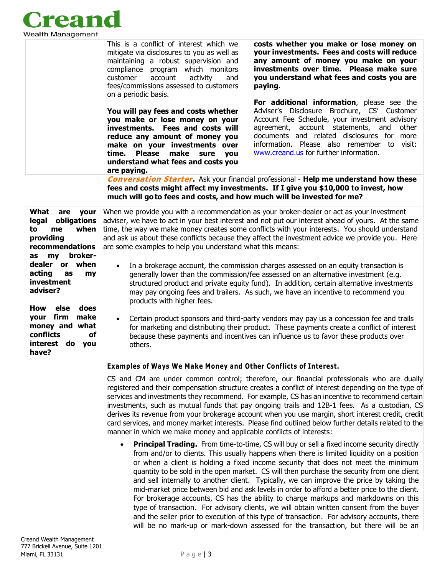

|                                                                                                                        | This is a conflict of interest which we<br>mitigate via disclosures to you as well as<br>maintaining a robust supervision and<br>compliance program which monitors<br>customer<br>account<br>activity<br>and<br>fees/commissions assessed to customers<br>paying.<br>on a periodic basis.                                                                                                                                                                                                                                                                                                                                                                                                                                                                                                                                                                                                                                                                           | costs whether you make or lose money on<br>your investments. Fees and costs will reduce<br>any amount of money you make on your<br>investments over time. Please make sure<br>you understand what fees and costs you are                                                                                                          |  |
|------------------------------------------------------------------------------------------------------------------------|---------------------------------------------------------------------------------------------------------------------------------------------------------------------------------------------------------------------------------------------------------------------------------------------------------------------------------------------------------------------------------------------------------------------------------------------------------------------------------------------------------------------------------------------------------------------------------------------------------------------------------------------------------------------------------------------------------------------------------------------------------------------------------------------------------------------------------------------------------------------------------------------------------------------------------------------------------------------|-----------------------------------------------------------------------------------------------------------------------------------------------------------------------------------------------------------------------------------------------------------------------------------------------------------------------------------|--|
|                                                                                                                        | You will pay fees and costs whether<br>you make or lose money on your<br>investments. Fees and costs will<br>reduce any amount of money you<br>make on your investments over<br><b>Please</b><br>make<br>time.<br>sure you<br>understand what fees and costs you<br>are paying.                                                                                                                                                                                                                                                                                                                                                                                                                                                                                                                                                                                                                                                                                     | For additional information, please see the<br>Adviser's Disclosure Brochure, CS' Customer<br>Account Fee Schedule, your investment advisory<br>agreement, account statements, and<br>other<br>documents and related disclosures for more<br>information. Please also remember to visit:<br>www.creand.us for further information. |  |
|                                                                                                                        | <b>Conversation Starter.</b> Ask your financial professional - Help me understand how these<br>fees and costs might affect my investments. If I give you \$10,000 to invest, how                                                                                                                                                                                                                                                                                                                                                                                                                                                                                                                                                                                                                                                                                                                                                                                    |                                                                                                                                                                                                                                                                                                                                   |  |
|                                                                                                                        | much will go to fees and costs, and how much will be invested for me?                                                                                                                                                                                                                                                                                                                                                                                                                                                                                                                                                                                                                                                                                                                                                                                                                                                                                               |                                                                                                                                                                                                                                                                                                                                   |  |
| What<br>are<br>your<br>legal<br>obligations<br>when<br>to<br>me<br>providing<br>recommendations<br>broker-<br>my<br>as | When we provide you with a recommendation as your broker-dealer or act as your investment<br>adviser, we have to act in your best interest and not put our interest ahead of yours. At the same<br>time, the way we make money creates some conflicts with your interests. You should understand<br>and ask us about these conflicts because they affect the investment advice we provide you. Here<br>are some examples to help you understand what this means:<br>In a brokerage account, the commission charges assessed on an equity transaction is<br>$\bullet$<br>generally lower than the commission/fee assessed on an alternative investment (e.g.<br>structured product and private equity fund). In addition, certain alternative investments<br>may pay ongoing fees and trailers. As such, we have an incentive to recommend you<br>products with higher fees.                                                                                         |                                                                                                                                                                                                                                                                                                                                   |  |
| dealer or when<br>acting<br>as<br>my<br>investment<br>adviser?<br>How<br>else<br>does                                  |                                                                                                                                                                                                                                                                                                                                                                                                                                                                                                                                                                                                                                                                                                                                                                                                                                                                                                                                                                     |                                                                                                                                                                                                                                                                                                                                   |  |
| your firm<br>make<br>money and what<br>conflicts<br>οf<br>interest<br>do you<br>have?                                  | Certain product sponsors and third-party vendors may pay us a concession fee and trails<br>$\bullet$<br>for marketing and distributing their product. These payments create a conflict of interest<br>because these payments and incentives can influence us to favor these products over<br>others.                                                                                                                                                                                                                                                                                                                                                                                                                                                                                                                                                                                                                                                                |                                                                                                                                                                                                                                                                                                                                   |  |
|                                                                                                                        | <b>Examples of Ways We Make Money and Other Conflicts of Interest.</b>                                                                                                                                                                                                                                                                                                                                                                                                                                                                                                                                                                                                                                                                                                                                                                                                                                                                                              |                                                                                                                                                                                                                                                                                                                                   |  |
|                                                                                                                        | CS and CM are under common control; therefore, our financial professionals who are dually<br>registered and their compensation structure creates a conflict of interest depending on the type of<br>services and investments they recommend. For example, CS has an incentive to recommend certain<br>investments, such as mutual funds that pay ongoing trails and 12B-1 fees. As a custodian, CS<br>derives its revenue from your brokerage account when you use margin, short interest credit, credit<br>card services, and money market interests. Please find outlined below further details related to the<br>manner in which we make money and applicable conflicts of interests:                                                                                                                                                                                                                                                                            |                                                                                                                                                                                                                                                                                                                                   |  |
|                                                                                                                        | <b>Principal Trading.</b> From time-to-time, CS will buy or sell a fixed income security directly<br>$\bullet$<br>from and/or to clients. This usually happens when there is limited liquidity on a position<br>or when a client is holding a fixed income security that does not meet the minimum<br>quantity to be sold in the open market. CS will then purchase the security from one client<br>and sell internally to another client. Typically, we can improve the price by taking the<br>mid-market price between bid and ask levels in order to afford a better price to the client.<br>For brokerage accounts, CS has the ability to charge markups and markdowns on this<br>type of transaction. For advisory clients, we will obtain written consent from the buyer<br>and the seller prior to execution of this type of transaction. For advisory accounts, there<br>will be no mark-up or mark-down assessed for the transaction, but there will be an |                                                                                                                                                                                                                                                                                                                                   |  |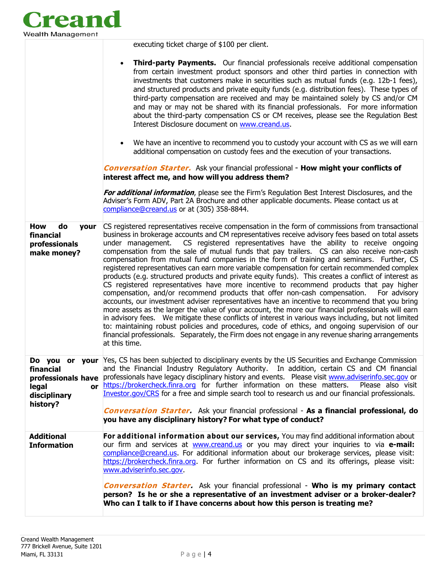

executing ticket charge of \$100 per client.

|                                                                       | <b>Third-party Payments.</b> Our financial professionals receive additional compensation<br>from certain investment product sponsors and other third parties in connection with<br>investments that customers make in securities such as mutual funds (e.g. 12b-1 fees),<br>and structured products and private equity funds (e.g. distribution fees). These types of<br>third-party compensation are received and may be maintained solely by CS and/or CM<br>and may or may not be shared with its financial professionals. For more information<br>about the third-party compensation CS or CM receives, please see the Regulation Best<br>Interest Disclosure document on www.creand.us.<br>We have an incentive to recommend you to custody your account with CS as we will earn<br>additional compensation on custody fees and the execution of your transactions.<br><b>Conversation Starter.</b> Ask your financial professional - <b>How might your conflicts of</b><br>interest affect me, and how will you address them?                                                                                                                                                                                                                                                                                                                                                                                             |
|-----------------------------------------------------------------------|---------------------------------------------------------------------------------------------------------------------------------------------------------------------------------------------------------------------------------------------------------------------------------------------------------------------------------------------------------------------------------------------------------------------------------------------------------------------------------------------------------------------------------------------------------------------------------------------------------------------------------------------------------------------------------------------------------------------------------------------------------------------------------------------------------------------------------------------------------------------------------------------------------------------------------------------------------------------------------------------------------------------------------------------------------------------------------------------------------------------------------------------------------------------------------------------------------------------------------------------------------------------------------------------------------------------------------------------------------------------------------------------------------------------------------|
|                                                                       | For additional information, please see the Firm's Regulation Best Interest Disclosures, and the<br>Adviser's Form ADV, Part 2A Brochure and other applicable documents. Please contact us at<br>compliance@creand.us or at (305) 358-8844.                                                                                                                                                                                                                                                                                                                                                                                                                                                                                                                                                                                                                                                                                                                                                                                                                                                                                                                                                                                                                                                                                                                                                                                      |
| How<br>do<br><b>your</b><br>financial<br>professionals<br>make money? | CS registered representatives receive compensation in the form of commissions from transactional<br>business in brokerage accounts and CM representatives receive advisory fees based on total assets<br>under management. CS registered representatives have the ability to receive ongoing<br>compensation from the sale of mutual funds that pay trailers. CS can also receive non-cash<br>compensation from mutual fund companies in the form of training and seminars. Further, CS<br>registered representatives can earn more variable compensation for certain recommended complex<br>products (e.g. structured products and private equity funds). This creates a conflict of interest as<br>CS registered representatives have more incentive to recommend products that pay higher<br>compensation, and/or recommend products that offer non-cash compensation. For advisory<br>accounts, our investment adviser representatives have an incentive to recommend that you bring<br>more assets as the larger the value of your account, the more our financial professionals will earn<br>in advisory fees. We mitigate these conflicts of interest in various ways including, but not limited<br>to: maintaining robust policies and procedures, code of ethics, and ongoing supervision of our<br>financial professionals. Separately, the Firm does not engage in any revenue sharing arrangements<br>at this time. |
| financial<br>legal<br>disciplinary<br>history?                        | Do you or your Yes, CS has been subjected to disciplinary events by the US Securities and Exchange Commission<br>and the Financial Industry Regulatory Authority. In addition, certain CS and CM financial<br>professionals have professionals have legacy disciplinary history and events. Please visit www.adviserinfo.sec.gov or<br>or https://brokercheck.finra.org for further information on these matters. Please also visit<br>Investor.gov/CRS for a free and simple search tool to research us and our financial professionals.                                                                                                                                                                                                                                                                                                                                                                                                                                                                                                                                                                                                                                                                                                                                                                                                                                                                                       |
|                                                                       | <b>Conversation Starter.</b> Ask your financial professional - As a financial professional, do<br>you have any disciplinary history? For what type of conduct?                                                                                                                                                                                                                                                                                                                                                                                                                                                                                                                                                                                                                                                                                                                                                                                                                                                                                                                                                                                                                                                                                                                                                                                                                                                                  |
| <b>Additional</b><br><b>Information</b>                               | For additional information about our services, You may find additional information about<br>our firm and services at www.creand.us or you may direct your inquiries to via e-mail:<br>compliance@creand.us. For additional information about our brokerage services, please visit:<br>https://brokercheck.finra.org. For further information on CS and its offerings, please visit:<br>www.adviserinfo.sec.gov.                                                                                                                                                                                                                                                                                                                                                                                                                                                                                                                                                                                                                                                                                                                                                                                                                                                                                                                                                                                                                 |
|                                                                       | <b>Conversation Starter.</b> Ask your financial professional - Who is my primary contact<br>person? Is he or she a representative of an investment adviser or a broker-dealer?<br>Who can I talk to if I have concerns about how this person is treating me?                                                                                                                                                                                                                                                                                                                                                                                                                                                                                                                                                                                                                                                                                                                                                                                                                                                                                                                                                                                                                                                                                                                                                                    |